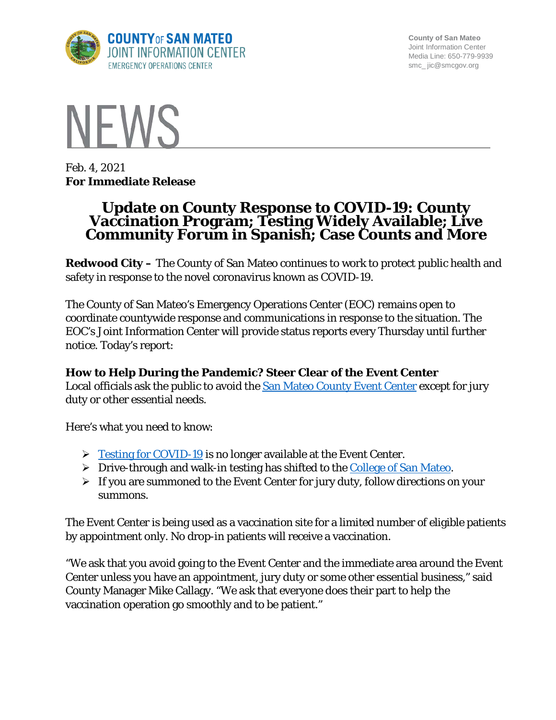

**County of San Mateo** Joint Information Center Media Line: 650-779-9939 smc\_ jic@smcgov.org



Feb. 4, 2021 **For Immediate Release**

# **Update on County Response to COVID-19: County Vaccination Program; Testing Widely Available; Live Community Forum in Spanish; Case Counts and More**

**Redwood City –** The County of San Mateo continues to work to protect public health and safety in response to the novel coronavirus known as COVID-19.

The County of San Mateo's Emergency Operations Center (EOC) remains open to coordinate countywide response and communications in response to the situation. The EOC's Joint Information Center will provide status reports every Thursday until further notice. Today's report:

## **How to Help During the Pandemic? Steer Clear of the Event Center**

Local officials ask the public to avoid the **San Mateo County Event Center** except for jury duty or other essential needs.

Here's what you need to know:

- $\triangleright$  [Testing for COVID-19](https://www.smcgov.org/testing) is no longer available at the Event Center.
- $\triangleright$  Drive-through and walk-in testing has shifted to the [College of San Mateo.](http://www.smcgov.org/testing)
- $\triangleright$  If you are summoned to the Event Center for jury duty, follow directions on your summons.

The Event Center is being used as a vaccination site for a limited number of eligible patients by appointment only. No drop-in patients will receive a vaccination.

"We ask that you avoid going to the Event Center and the immediate area around the Event Center unless you have an appointment, jury duty or some other essential business," said County Manager Mike Callagy. "We ask that everyone does their part to help the vaccination operation go smoothly and to be patient."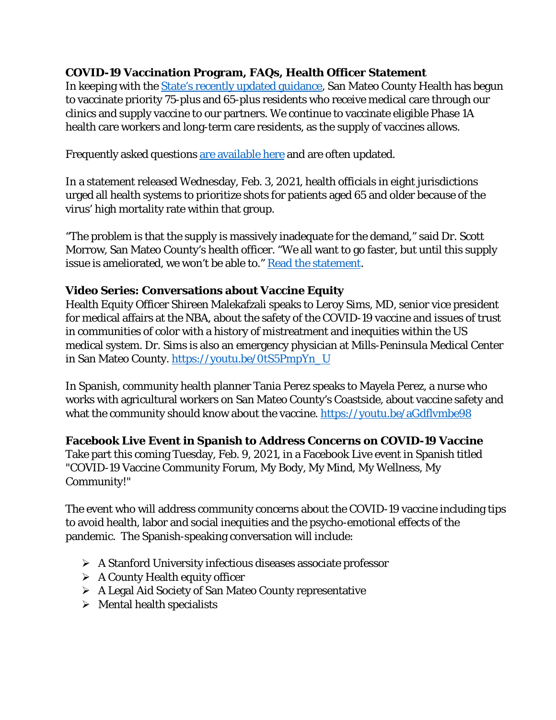## **COVID-19 Vaccination Program, FAQs, Health Officer Statement**

In keeping with the [State's recently updated guidance,](https://www.cdph.ca.gov/Programs/CID/DCDC/Pages/Revision-of-Allocation-Guidelines-for-COVID-19-Vaccine.aspx) San Mateo County Health has begun to vaccinate priority 75-plus and 65-plus residents who receive medical care through our clinics and supply vaccine to our partners. We continue to vaccinate eligible Phase 1A health care workers and long-term care residents, as the supply of vaccines allows.

Frequently asked questions [are available here](https://www.smcgov.org/press-release/covid-19-vaccines-frequently-asked-questions) and are often updated.

In a statement released Wednesday, Feb. 3, 2021, health officials in eight jurisdictions urged all health systems to prioritize shots for patients aged 65 and older because of the virus' high mortality rate within that group.

"The problem is that the supply is massively inadequate for the demand," said Dr. Scott Morrow, San Mateo County's health officer. "We all want to go faster, but until this supply issue is ameliorated, we won't be able to." [Read the statement.](https://cmo.smcgov.org/press-release/feb-3-2021-vaccine-supply-shortages-prompt-public-health-leaders-throughout-bay-area)

## **Video Series: Conversations about Vaccine Equity**

Health Equity Officer Shireen Malekafzali speaks to Leroy Sims, MD, senior vice president for medical affairs at the NBA, about the safety of the COVID-19 vaccine and issues of trust in communities of color with a history of mistreatment and inequities within the US medical system. Dr. Sims is also an emergency physician at Mills-Peninsula Medical Center in San Mateo County. [https://youtu.be/0tS5PmpYn\\_U](https://youtu.be/0tS5PmpYn_U)

In Spanish, community health planner Tania Perez speaks to Mayela Perez, a nurse who works with agricultural workers on San Mateo County's Coastside, about vaccine safety and what the community should know about the vaccine. https://youtu.be/aGdflymbe98

**Facebook Live Event in Spanish to Address Concerns on COVID-19 Vaccine** 

Take part this coming Tuesday, Feb. 9, 2021, in a Facebook Live event in Spanish titled "COVID-19 Vaccine Community Forum, My Body, My Mind, My Wellness, My Community!"

The event who will address community concerns about the COVID-19 vaccine including tips to avoid health, labor and social inequities and the psycho-emotional effects of the pandemic. The Spanish-speaking conversation will include:

- A Stanford University infectious diseases associate professor
- $\triangleright$  A County Health equity officer
- A Legal Aid Society of San Mateo County representative
- $\triangleright$  Mental health specialists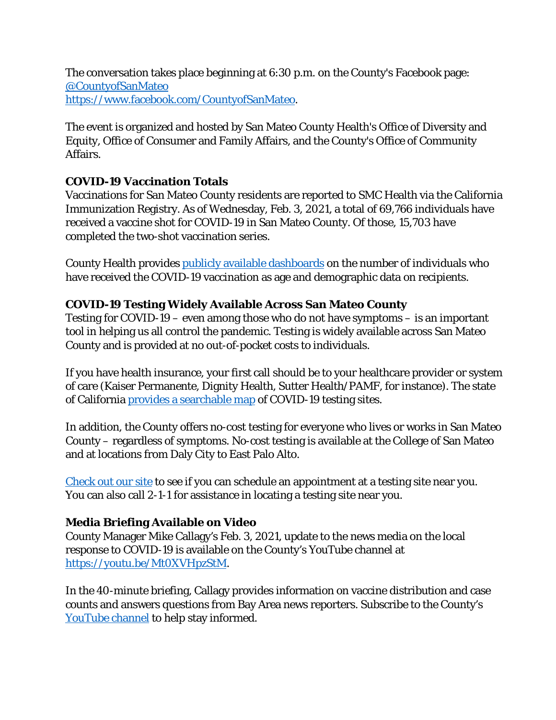The conversation takes place beginning at 6:30 p.m. on the County's Facebook page: [@CountyofSanMateo](https://www.facebook.com/CountyofSanMateo) [https://www.facebook.com/CountyofSanMateo.](https://www.facebook.com/CountyofSanMateo)

The event is organized and hosted by San Mateo County Health's Office of Diversity and Equity, Office of Consumer and Family Affairs, and the County's Office of Community Affairs.

## **COVID-19 Vaccination Totals**

Vaccinations for San Mateo County residents are reported to SMC Health via the California Immunization Registry. As of Wednesday, Feb. 3, 2021, a total of 69,766 individuals have received a vaccine shot for COVID-19 in San Mateo County. Of those, 15,703 have completed the two-shot vaccination series.

County Health provides [publicly available dashboards](https://www.smchealth.org/coronavirus-health-data) on the number of individuals who have received the COVID-19 vaccination as age and demographic data on recipients.

## **COVID-19 Testing Widely Available Across San Mateo County**

Testing for COVID-19 – even among those who do not have symptoms – is an important tool in helping us all control the pandemic. Testing is widely available across San Mateo County and is provided at no out-of-pocket costs to individuals.

If you have health insurance, your first call should be to your healthcare provider or system of care (Kaiser Permanente, Dignity Health, Sutter Health/PAMF, for instance). The state of California [provides a searchable map](https://www.arcgis.com/apps/Nearby/index.html?appid=43118dc0d5d348d8ab20a81967a15401) of COVID-19 testing sites.

In addition, the County offers no-cost testing for everyone who lives or works in San Mateo County – regardless of symptoms. No-cost testing is available at the College of San Mateo and at locations from Daly City to East Palo Alto.

[Check out our site](http://www.smcgov.org/testing) to see if you can schedule an appointment at a testing site near you. You can also call 2-1-1 for assistance in locating a testing site near you.

#### **Media Briefing Available on Video**

County Manager Mike Callagy's Feb. 3, 2021, update to the news media on the local response to COVID-19 is available on the County's YouTube channel at [https://youtu.be/Mt0XVHpzStM.](https://youtu.be/Mt0XVHpzStM)

In the 40-minute briefing, Callagy provides information on vaccine distribution and case counts and answers questions from Bay Area news reporters. Subscribe to the County's [YouTube channel](https://www.youtube.com/c/sanmateocounty) to help stay informed.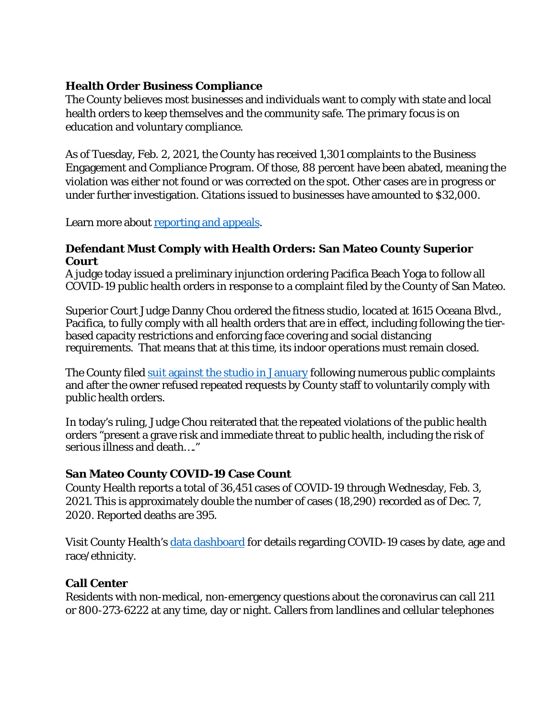## **Health Order Business Compliance**

The County believes most businesses and individuals want to comply with state and local health orders to keep themselves and the community safe. The primary focus is on education and voluntary compliance.

As of Tuesday, Feb. 2, 2021, the County has received 1,301 complaints to the Business Engagement and Compliance Program. Of those, 88 percent have been abated, meaning the violation was either not found or was corrected on the spot. Other cases are in progress or under further investigation. Citations issued to businesses have amounted to \$32,000.

Learn more about [reporting and appeals.](https://cmo.smcgov.org/health-order-violation-reporting-appeals-businesses)

#### **Defendant Must Comply with Health Orders: San Mateo County Superior Court**

A judge today issued a preliminary injunction ordering Pacifica Beach Yoga to follow all COVID-19 public health orders in response to a complaint filed by the County of San Mateo.

Superior Court Judge Danny Chou ordered the fitness studio, located at 1615 Oceana Blvd., Pacifica, to fully comply with all health orders that are in effect, including following the tierbased capacity restrictions and enforcing face covering and social distancing requirements. That means that at this time, its indoor operations must remain closed.

The County filed suit [against the studio in January](https://cmo.smcgov.org/press-release/jan-21-2020-county-san-mateo-sues-pacifica-beach-yoga-over-repeated-covid-19-health) following numerous public complaints and after the owner refused repeated requests by County staff to voluntarily comply with public health orders.

In today's ruling, Judge Chou reiterated that the repeated violations of the public health orders "present a grave risk and immediate threat to public health, including the risk of serious illness and death…."

#### **San Mateo County COVID-19 Case Count**

County Health reports a total of 36,451 cases of COVID-19 through Wednesday, Feb. 3, 2021. This is approximately double the number of cases (18,290) recorded as of Dec. 7, 2020. Reported deaths are 395.

Visit County Health's [data dashboard](https://www.smchealth.org/data-dashboard/county-data-dashboard) for details regarding COVID-19 cases by date, age and race/ethnicity.

## **Call Center**

Residents with non-medical, non-emergency questions about the coronavirus can call 211 or 800-273-6222 at any time, day or night. Callers from landlines and cellular telephones